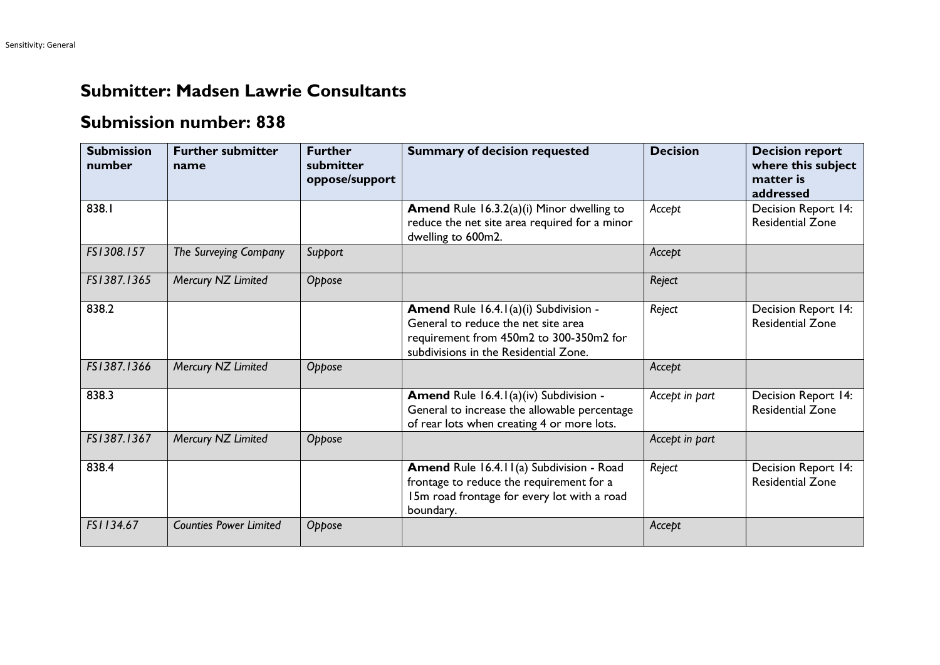## **Submitter: Madsen Lawrie Consultants**

## **Submission number: 838**

| <b>Submission</b><br>number | <b>Further submitter</b><br>name | <b>Further</b><br>submitter<br>oppose/support | <b>Summary of decision requested</b>                                                                                                                             | <b>Decision</b> | <b>Decision report</b><br>where this subject<br>matter is<br>addressed |
|-----------------------------|----------------------------------|-----------------------------------------------|------------------------------------------------------------------------------------------------------------------------------------------------------------------|-----------------|------------------------------------------------------------------------|
| 838.I                       |                                  |                                               | <b>Amend</b> Rule 16.3.2(a)(i) Minor dwelling to<br>reduce the net site area required for a minor<br>dwelling to 600m2.                                          | Accept          | Decision Report 14:<br><b>Residential Zone</b>                         |
| FS1308.157                  | The Surveying Company            | Support                                       |                                                                                                                                                                  | Accept          |                                                                        |
| FS1387.1365                 | Mercury NZ Limited               | Oppose                                        |                                                                                                                                                                  | Reject          |                                                                        |
| 838.2                       |                                  |                                               | Amend Rule 16.4.1(a)(i) Subdivision -<br>General to reduce the net site area<br>requirement from 450m2 to 300-350m2 for<br>subdivisions in the Residential Zone. | Reject          | Decision Report 14:<br><b>Residential Zone</b>                         |
| FS1387.1366                 | Mercury NZ Limited               | Oppose                                        |                                                                                                                                                                  | Accept          |                                                                        |
| 838.3                       |                                  |                                               | Amend Rule 16.4.1(a)(iv) Subdivision -<br>General to increase the allowable percentage<br>of rear lots when creating 4 or more lots.                             | Accept in part  | Decision Report 14:<br><b>Residential Zone</b>                         |
| FS1387.1367                 | Mercury NZ Limited               | Oppose                                        |                                                                                                                                                                  | Accept in part  |                                                                        |
| 838.4                       |                                  |                                               | <b>Amend Rule 16.4.11(a) Subdivision - Road</b><br>frontage to reduce the requirement for a<br>15m road frontage for every lot with a road<br>boundary.          | Reject          | Decision Report 14:<br><b>Residential Zone</b>                         |
| FS1134.67                   | <b>Counties Power Limited</b>    | Oppose                                        |                                                                                                                                                                  | Accept          |                                                                        |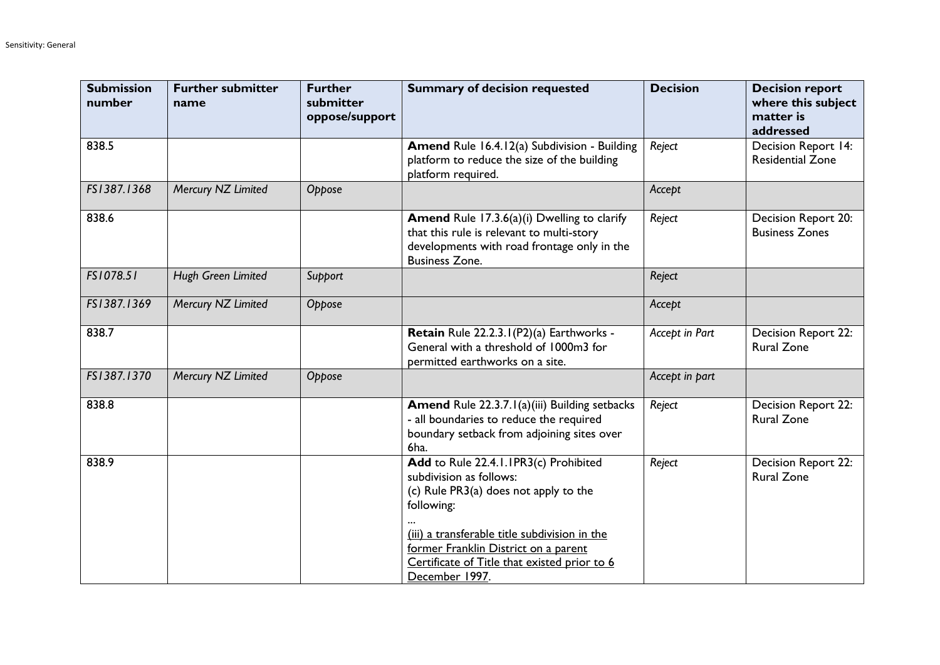| <b>Submission</b><br>number | <b>Further submitter</b><br>name | <b>Further</b><br>submitter<br>oppose/support | <b>Summary of decision requested</b>                                                                                                                                                                                                                                               | <b>Decision</b> | <b>Decision report</b><br>where this subject<br>matter is<br>addressed |
|-----------------------------|----------------------------------|-----------------------------------------------|------------------------------------------------------------------------------------------------------------------------------------------------------------------------------------------------------------------------------------------------------------------------------------|-----------------|------------------------------------------------------------------------|
| 838.5                       |                                  |                                               | Amend Rule 16.4.12(a) Subdivision - Building<br>platform to reduce the size of the building<br>platform required.                                                                                                                                                                  | Reject          | Decision Report 14:<br><b>Residential Zone</b>                         |
| FS1387.1368                 | Mercury NZ Limited               | Oppose                                        |                                                                                                                                                                                                                                                                                    | Accept          |                                                                        |
| 838.6                       |                                  |                                               | <b>Amend</b> Rule 17.3.6(a)(i) Dwelling to clarify<br>that this rule is relevant to multi-story<br>developments with road frontage only in the<br><b>Business Zone.</b>                                                                                                            | Reject          | Decision Report 20:<br><b>Business Zones</b>                           |
| FS1078.51                   | Hugh Green Limited               | Support                                       |                                                                                                                                                                                                                                                                                    | Reject          |                                                                        |
| FS1387.1369                 | Mercury NZ Limited               | Oppose                                        |                                                                                                                                                                                                                                                                                    | Accept          |                                                                        |
| 838.7                       |                                  |                                               | Retain Rule 22.2.3.1 (P2)(a) Earthworks -<br>General with a threshold of 1000m3 for<br>permitted earthworks on a site.                                                                                                                                                             | Accept in Part  | <b>Decision Report 22:</b><br><b>Rural Zone</b>                        |
| FS1387.1370                 | Mercury NZ Limited               | Oppose                                        |                                                                                                                                                                                                                                                                                    | Accept in part  |                                                                        |
| 838.8                       |                                  |                                               | Amend Rule 22.3.7.1(a)(iii) Building setbacks<br>- all boundaries to reduce the required<br>boundary setback from adjoining sites over<br>6ha.                                                                                                                                     | Reject          | <b>Decision Report 22:</b><br><b>Rural Zone</b>                        |
| 838.9                       |                                  |                                               | Add to Rule 22.4.1.1PR3(c) Prohibited<br>subdivision as follows:<br>(c) Rule PR3(a) does not apply to the<br>following:<br>(iii) a transferable title subdivision in the<br>former Franklin District on a parent<br>Certificate of Title that existed prior to 6<br>December 1997. | Reject          | Decision Report 22:<br><b>Rural Zone</b>                               |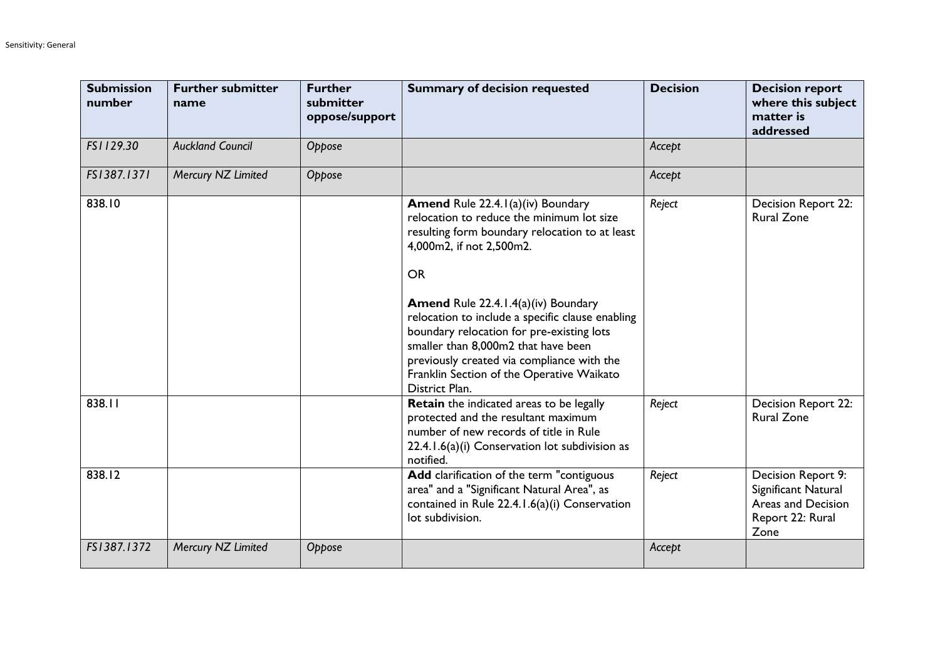| <b>Submission</b><br>number | <b>Further submitter</b><br>name | <b>Further</b><br>submitter<br>oppose/support | <b>Summary of decision requested</b>                                                                                                                                                                                                                                                                                                                                                                                                                                                | <b>Decision</b> | <b>Decision report</b><br>where this subject<br>matter is<br>addressed                      |
|-----------------------------|----------------------------------|-----------------------------------------------|-------------------------------------------------------------------------------------------------------------------------------------------------------------------------------------------------------------------------------------------------------------------------------------------------------------------------------------------------------------------------------------------------------------------------------------------------------------------------------------|-----------------|---------------------------------------------------------------------------------------------|
| FS1129.30                   | <b>Auckland Council</b>          | Oppose                                        |                                                                                                                                                                                                                                                                                                                                                                                                                                                                                     | Accept          |                                                                                             |
| FS1387.1371                 | Mercury NZ Limited               | Oppose                                        |                                                                                                                                                                                                                                                                                                                                                                                                                                                                                     | Accept          |                                                                                             |
| 838.10                      |                                  |                                               | <b>Amend Rule 22.4.1(a)(iv) Boundary</b><br>relocation to reduce the minimum lot size<br>resulting form boundary relocation to at least<br>4,000m2, if not 2,500m2.<br><b>OR</b><br><b>Amend Rule 22.4.1.4(a)(iv) Boundary</b><br>relocation to include a specific clause enabling<br>boundary relocation for pre-existing lots<br>smaller than 8,000m2 that have been<br>previously created via compliance with the<br>Franklin Section of the Operative Waikato<br>District Plan. | Reject          | <b>Decision Report 22:</b><br><b>Rural Zone</b>                                             |
| 838.11                      |                                  |                                               | Retain the indicated areas to be legally<br>protected and the resultant maximum<br>number of new records of title in Rule<br>22.4.1.6(a)(i) Conservation lot subdivision as<br>notified.                                                                                                                                                                                                                                                                                            | Reject          | <b>Decision Report 22:</b><br><b>Rural Zone</b>                                             |
| 838.12                      |                                  |                                               | Add clarification of the term "contiguous<br>area" and a "Significant Natural Area", as<br>contained in Rule 22.4.1.6(a)(i) Conservation<br>lot subdivision.                                                                                                                                                                                                                                                                                                                        | Reject          | Decision Report 9:<br>Significant Natural<br>Areas and Decision<br>Report 22: Rural<br>Zone |
| FS1387.1372                 | Mercury NZ Limited               | Oppose                                        |                                                                                                                                                                                                                                                                                                                                                                                                                                                                                     | Accept          |                                                                                             |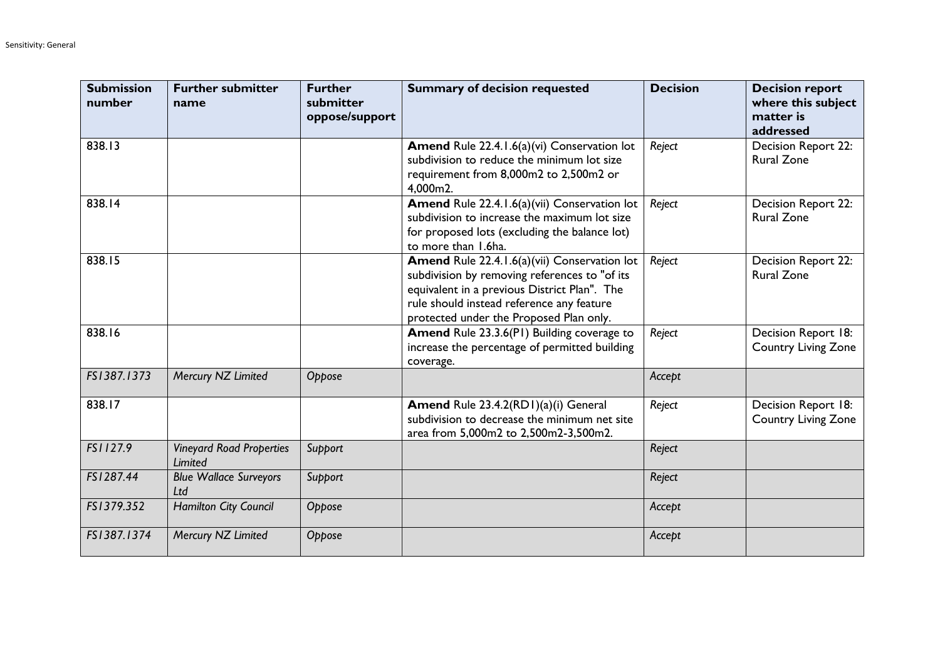| <b>Submission</b><br>number | <b>Further submitter</b><br>name                  | <b>Further</b><br>submitter<br>oppose/support | <b>Summary of decision requested</b>                                                                                                                                                                                                  | <b>Decision</b> | <b>Decision report</b><br>where this subject<br>matter is<br>addressed |
|-----------------------------|---------------------------------------------------|-----------------------------------------------|---------------------------------------------------------------------------------------------------------------------------------------------------------------------------------------------------------------------------------------|-----------------|------------------------------------------------------------------------|
| 838.13                      |                                                   |                                               | Amend Rule 22.4.1.6(a)(vi) Conservation lot<br>subdivision to reduce the minimum lot size<br>requirement from 8,000m2 to 2,500m2 or<br>4,000m2.                                                                                       | Reject          | Decision Report 22:<br><b>Rural Zone</b>                               |
| 838.14                      |                                                   |                                               | Amend Rule 22.4.1.6(a)(vii) Conservation lot<br>subdivision to increase the maximum lot size<br>for proposed lots (excluding the balance lot)<br>to more than 1.6ha.                                                                  | Reject          | Decision Report 22:<br><b>Rural Zone</b>                               |
| 838.15                      |                                                   |                                               | Amend Rule 22.4.1.6(a)(vii) Conservation lot<br>subdivision by removing references to "of its<br>equivalent in a previous District Plan". The<br>rule should instead reference any feature<br>protected under the Proposed Plan only. | Reject          | Decision Report 22:<br><b>Rural Zone</b>                               |
| 838.16                      |                                                   |                                               | Amend Rule 23.3.6(PI) Building coverage to<br>increase the percentage of permitted building<br>coverage.                                                                                                                              | Reject          | Decision Report 18:<br><b>Country Living Zone</b>                      |
| FS1387.1373                 | Mercury NZ Limited                                | Oppose                                        |                                                                                                                                                                                                                                       | Accept          |                                                                        |
| 838.17                      |                                                   |                                               | Amend Rule 23.4.2(RD1)(a)(i) General<br>subdivision to decrease the minimum net site<br>area from 5,000m2 to 2,500m2-3,500m2.                                                                                                         | Reject          | Decision Report 18:<br><b>Country Living Zone</b>                      |
| FS1127.9                    | <b>Vineyard Road Properties</b><br><b>Limited</b> | Support                                       |                                                                                                                                                                                                                                       | Reject          |                                                                        |
| FS1287.44                   | <b>Blue Wallace Surveyors</b><br>Ltd              | Support                                       |                                                                                                                                                                                                                                       | Reject          |                                                                        |
| FS1379.352                  | <b>Hamilton City Council</b>                      | Oppose                                        |                                                                                                                                                                                                                                       | Accept          |                                                                        |
| FS1387.1374                 | Mercury NZ Limited                                | Oppose                                        |                                                                                                                                                                                                                                       | Accept          |                                                                        |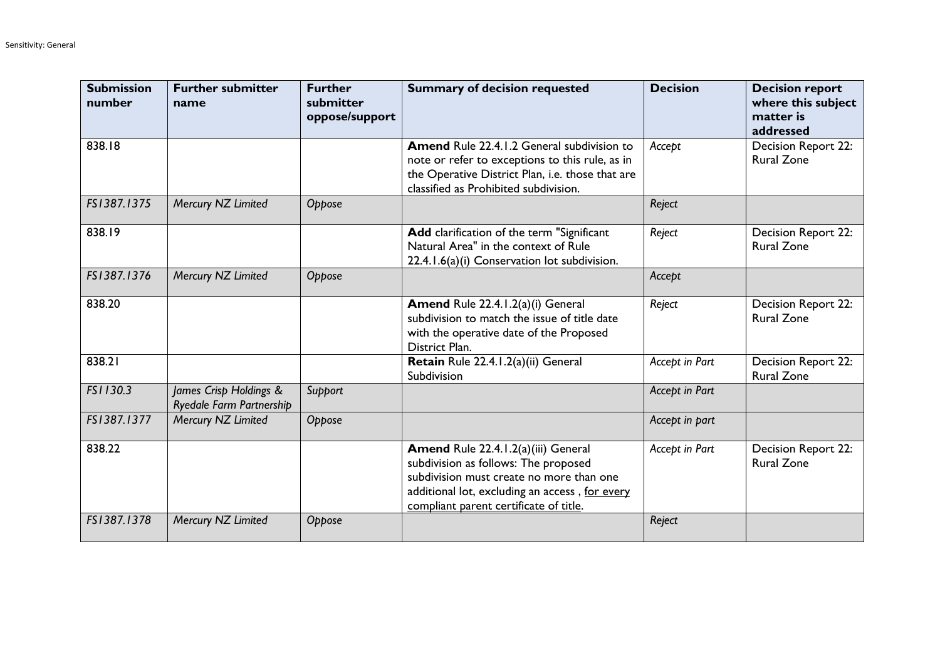| <b>Submission</b><br>number | <b>Further submitter</b><br>name                   | <b>Further</b><br>submitter<br>oppose/support | <b>Summary of decision requested</b>                                                                                                                                                                                | <b>Decision</b> | <b>Decision report</b><br>where this subject<br>matter is<br>addressed |
|-----------------------------|----------------------------------------------------|-----------------------------------------------|---------------------------------------------------------------------------------------------------------------------------------------------------------------------------------------------------------------------|-----------------|------------------------------------------------------------------------|
| 838.18                      |                                                    |                                               | <b>Amend</b> Rule 22.4.1.2 General subdivision to<br>note or refer to exceptions to this rule, as in<br>the Operative District Plan, i.e. those that are<br>classified as Prohibited subdivision.                   | Accept          | <b>Decision Report 22:</b><br><b>Rural Zone</b>                        |
| FS1387.1375                 | Mercury NZ Limited                                 | Oppose                                        |                                                                                                                                                                                                                     | Reject          |                                                                        |
| 838.19                      |                                                    |                                               | Add clarification of the term "Significant<br>Natural Area" in the context of Rule<br>22.4.1.6(a)(i) Conservation lot subdivision.                                                                                  | Reject          | Decision Report 22:<br><b>Rural Zone</b>                               |
| FS1387.1376                 | Mercury NZ Limited                                 | Oppose                                        |                                                                                                                                                                                                                     | Accept          |                                                                        |
| 838.20                      |                                                    |                                               | Amend Rule 22.4.1.2(a)(i) General<br>subdivision to match the issue of title date<br>with the operative date of the Proposed<br>District Plan.                                                                      | Reject          | Decision Report 22:<br><b>Rural Zone</b>                               |
| 838.21                      |                                                    |                                               | Retain Rule 22.4.1.2(a)(ii) General<br>Subdivision                                                                                                                                                                  | Accept in Part  | Decision Report 22:<br><b>Rural Zone</b>                               |
| FS1130.3                    | James Crisp Holdings &<br>Ryedale Farm Partnership | Support                                       |                                                                                                                                                                                                                     | Accept in Part  |                                                                        |
| FS1387.1377                 | Mercury NZ Limited                                 | Oppose                                        |                                                                                                                                                                                                                     | Accept in part  |                                                                        |
| 838.22                      |                                                    |                                               | Amend Rule 22.4.1.2(a)(iii) General<br>subdivision as follows: The proposed<br>subdivision must create no more than one<br>additional lot, excluding an access, for every<br>compliant parent certificate of title. | Accept in Part  | <b>Decision Report 22:</b><br><b>Rural Zone</b>                        |
| FS1387.1378                 | Mercury NZ Limited                                 | Oppose                                        |                                                                                                                                                                                                                     | Reject          |                                                                        |